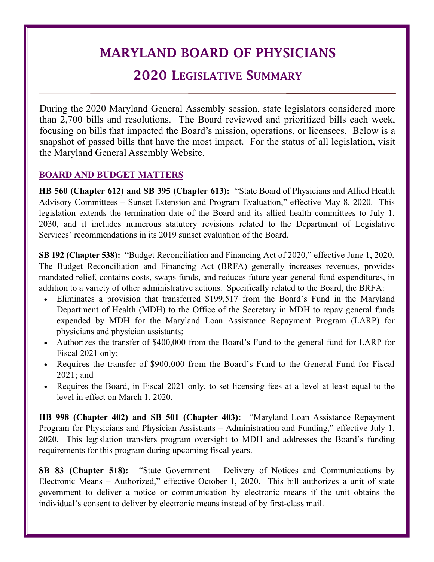# MARYLAND BOARD OF PHYSICIANS

## 2020 LEGISLATIVE SUMMARY

During the 2020 Maryland General Assembly session, state legislators considered more than 2,700 bills and resolutions. The Board reviewed and prioritized bills each week, focusing on bills that impacted the Board's mission, operations, or licensees. Below is a snapshot of passed bills that have the most impact. For the status of all legislation, visit the Maryland General Assembly Website.

### **BOARD AND BUDGET MATTERS**

**HB 560 (Chapter 612) and SB 395 (Chapter 613):** "State Board of Physicians and Allied Health Advisory Committees – Sunset Extension and Program Evaluation," effective May 8, 2020. This legislation extends the termination date of the Board and its allied health committees to July 1, 2030, and it includes numerous statutory revisions related to the Department of Legislative Services' recommendations in its 2019 sunset evaluation of the Board.

**SB 192 (Chapter 538):** "Budget Reconciliation and Financing Act of 2020," effective June 1, 2020. The Budget Reconciliation and Financing Act (BRFA) generally increases revenues, provides mandated relief, contains costs, swaps funds, and reduces future year general fund expenditures, in addition to a variety of other administrative actions. Specifically related to the Board, the BRFA:

- Eliminates a provision that transferred \$199,517 from the Board's Fund in the Maryland Department of Health (MDH) to the Office of the Secretary in MDH to repay general funds expended by MDH for the Maryland Loan Assistance Repayment Program (LARP) for physicians and physician assistants;
- Authorizes the transfer of \$400,000 from the Board's Fund to the general fund for LARP for Fiscal 2021 only;
- Requires the transfer of \$900,000 from the Board's Fund to the General Fund for Fiscal 2021; and
- Requires the Board, in Fiscal 2021 only, to set licensing fees at a level at least equal to the level in effect on March 1, 2020.

**HB 998 (Chapter 402) and SB 501 (Chapter 403):** "Maryland Loan Assistance Repayment Program for Physicians and Physician Assistants – Administration and Funding," effective July 1, 2020. This legislation transfers program oversight to MDH and addresses the Board's funding requirements for this program during upcoming fiscal years.

**SB 83 (Chapter 518):** "State Government – Delivery of Notices and Communications by Electronic Means – Authorized," effective October 1, 2020. This bill authorizes a unit of state government to deliver a notice or communication by electronic means if the unit obtains the individual's consent to deliver by electronic means instead of by first-class mail.